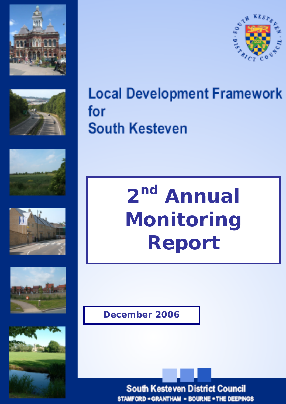













**Local Development Framework** for **South Kesteven** 

> **2nd Annual Monitoring Report**

**December 2006**

**South Kesteven District Council STAMFORD . GRANTHAM . BOURNE . THE DEEPINGS**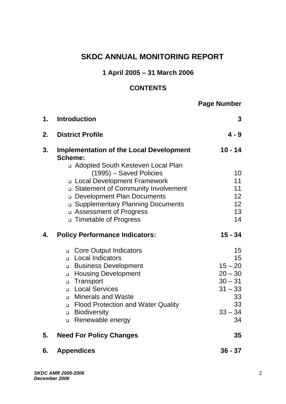# **SKDC ANNUAL MONITORING REPORT**

# **1 April 2005 – 31 March 2006**

# **CONTENTS**

# **Page Number**

| 1. | <b>Introduction</b>                                                                                                                                                                                                                                                                                                                                                           | 3                                                                                                                     |
|----|-------------------------------------------------------------------------------------------------------------------------------------------------------------------------------------------------------------------------------------------------------------------------------------------------------------------------------------------------------------------------------|-----------------------------------------------------------------------------------------------------------------------|
| 2. | <b>District Profile</b>                                                                                                                                                                                                                                                                                                                                                       | $4 - 9$                                                                                                               |
| 3. | <b>Implementation of the Local Development</b><br>Scheme:                                                                                                                                                                                                                                                                                                                     | $10 - 14$                                                                                                             |
|    | n Adopted South Kesteven Local Plan<br>(1995) - Saved Policies<br>□ Local Development Framework<br>□ Statement of Community Involvement<br><b>Development Plan Documents</b><br><b>Q Supplementary Planning Documents</b><br>□ Assessment of Progress<br>n Timetable of Progress                                                                                              | 10 <sup>1</sup><br>11<br>11<br>12 <sub>2</sub><br>12 <sub>2</sub><br>13<br>14                                         |
| 4. | <b>Policy Performance Indicators:</b>                                                                                                                                                                                                                                                                                                                                         | $15 - 34$                                                                                                             |
|    | <b>Q.</b> Core Output Indicators<br><b>Local Indicators</b><br>$\Box$<br><b>Business Development</b><br>$\Box$<br><b>Housing Development</b><br>$\Box$<br>Transport<br>$\Box$<br><b>Local Services</b><br>$\Box$<br><b>Minerals and Waste</b><br>$\Box$<br><b>Flood Protection and Water Quality</b><br>$\Box$<br><b>Biodiversity</b><br>$\Box$<br>Renewable energy<br>$\Box$ | 15 <sub>1</sub><br>15 <sub>1</sub><br>$15 - 20$<br>$20 - 30$<br>$30 - 31$<br>$31 - 33$<br>33<br>33<br>$33 - 34$<br>34 |
| 5. | <b>Need For Policy Changes</b>                                                                                                                                                                                                                                                                                                                                                | 35                                                                                                                    |
| 6. | <b>Appendices</b>                                                                                                                                                                                                                                                                                                                                                             | $36 - 37$                                                                                                             |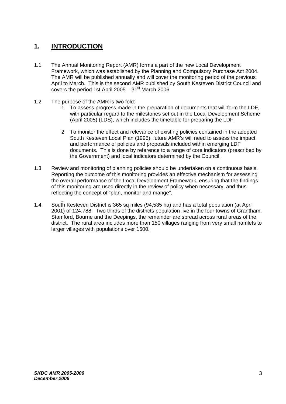# **1. INTRODUCTION**

- 1.1 The Annual Monitoring Report (AMR) forms a part of the new Local Development Framework, which was established by the Planning and Compulsory Purchase Act 2004. The AMR will be published annually and will cover the monitoring period of the previous April to March. This is the second AMR published by South Kesteven District Council and covers the period 1st April 2005 –  $31<sup>st</sup>$  March 2006.
- 1.2 The purpose of the AMR is two fold:
	- 1 To assess progress made in the preparation of documents that will form the LDF, with particular regard to the milestones set out in the Local Development Scheme (April 2005) (LDS), which includes the timetable for preparing the LDF.
	- 2 To monitor the effect and relevance of existing policies contained in the adopted South Kesteven Local Plan (1995), future AMR's will need to assess the impact and performance of policies and proposals included within emerging LDF documents. This is done by reference to a range of core indicators (prescribed by the Government) and local indicators determined by the Council.
- 1.3 Review and monitoring of planning policies should be undertaken on a continuous basis. Reporting the outcome of this monitoring provides an effective mechanism for assessing the overall performance of the Local Development Framework, ensuring that the findings of this monitoring are used directly in the review of policy when necessary, and thus reflecting the concept of "plan, monitor and mange".
- 1.4 South Kesteven District is 365 sq miles (94,535 ha) and has a total population (at April 2001) of 124,788. Two thirds of the districts population live in the four towns of Grantham, Stamford, Bourne and the Deepings, the remainder are spread across rural areas of the district. The rural area includes more than 150 villages ranging from very small hamlets to larger villages with populations over 1500.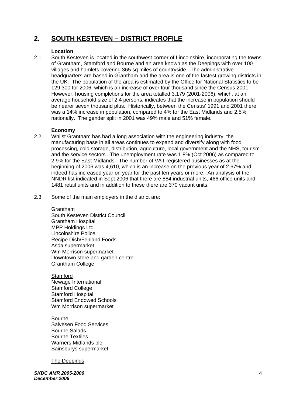# **2. SOUTH KESTEVEN – DISTRICT PROFILE**

#### **Location**

2.1 South Kesteven is located in the southwest corner of Lincolnshire, incorporating the towns of Grantham, Stamford and Bourne and an area known as the Deepings with over 100 villages and hamlets covering 365 sq miles of countryside. The administrative headquarters are based in Grantham and the area is one of the fastest growing districts in the UK. The population of the area is estimated by the Office for National Statistics to be 129,300 for 2006, which is an increase of over four thousand since the Census 2001. However, housing completions for the area totalled 3,179 (2001-2006), which, at an average household size of 2.4 persons, indicates that the increase in population should be nearer seven thousand plus. Historically, between the Census' 1991 and 2001 there was a 14% increase in population, compared to 4% for the East Midlands and 2.5% nationally. The gender split in 2001 was 49% male and 51% female.

#### **Economy**

- 2.2 Whilst Grantham has had a long association with the engineering industry, the manufacturing base in all areas continues to expand and diversify along with food processing, cold storage, distribution, agriculture, local government and the NHS, tourism and the service sectors. The unemployment rate was 1.8% (Oct 2006) as compared to 2.9% for the East Midlands. The number of VAT registered businesses as at the beginning of 2006 was 4,610, which is an increase on the previous year of 2.67% and indeed has increased year on year for the past ten years or more. An analysis of the NNDR list indicated in Sept 2006 that there are 884 industrial units, 466 office units and 1481 retail units and in addition to these there are 370 vacant units.
- 2.3 Some of the main employers in the district are:

Grantham South Kesteven District Council Grantham Hospital MPP Holdings Ltd Lincolnshire Police Recipe Dish/Fenland Foods Asda supermarket Wm Morrison supermarket Downtown store and garden centre Grantham College

**Stamford** Newage International Stamford College Stamford Hospital Stamford Endowed Schools Wm Morrison supermarket

Bourne Salvesen Food Services Bourne Salads Bourne Textiles Warners Midlands plc Sainsburys supermarket

The Deepings

*SKDC AMR 2005-2006 December 2006*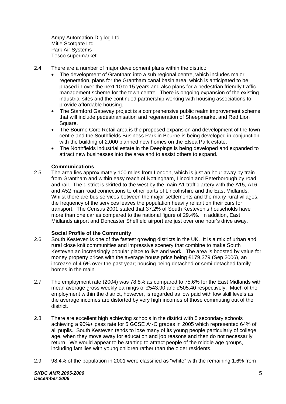Ampy Automation Digilog Ltd Mitie Scotgate Ltd Park Air Systems Tesco supermarket

- 2.4 There are a number of major development plans within the district:
	- The development of Grantham into a sub regional centre, which includes major regeneration, plans for the Grantham canal basin area, which is anticipated to be phased in over the next 10 to 15 years and also plans for a pedestrian friendly traffic management scheme for the town centre. There is ongoing expansion of the existing industrial sites and the continued partnership working with housing associations to provide affordable housing.
	- The Stamford Gateway project is a comprehensive public realm improvement scheme that will include pedestrianisation and regeneration of Sheepmarket and Red Lion Square.
	- The Bourne Core Retail area is the proposed expansion and development of the town centre and the Southfields Business Park in Bourne is being developed in conjunction with the building of 2,000 planned new homes on the Elsea Park estate.
	- The Northfields industrial estate in the Deepings is being developed and expanded to attract new businesses into the area and to assist others to expand.

#### **Communications**

2.5 The area lies approximately 100 miles from London, which is just an hour away by train from Grantham and within easy reach of Nottingham, Lincoln and Peterborough by road and rail. The district is skirted to the west by the main A1 traffic artery with the A15, A16 and A52 main road connections to other parts of Lincolnshire and the East Midlands. Whilst there are bus services between the major settlements and the many rural villages, the frequency of the services leaves the population heavily reliant on their cars for transport. The Census 2001 stated that 37.2% of South Kesteven's households have more than one car as compared to the national figure of 29.4%. In addition, East Midlands airport and Doncaster Sheffield airport are just over one hour's drive away.

#### **Social Profile of the Community**

- 2.6 South Kesteven is one of the fastest growing districts in the UK. It is a mix of urban and rural close knit communities and impressive scenery that combine to make South Kesteven an increasingly popular place to live and work. The area is boosted by value for money property prices with the average house price being £179,379 (Sep 2006), an increase of 4.6% over the past year; housing being detached or semi detached family homes in the main.
- 2.7 The employment rate (2004) was 78.8% as compared to 75.6% for the East Midlands with mean average gross weekly earnings of £543.90 and £505.40 respectively. Much of the employment within the district, however, is regarded as low paid with low skill levels as the average incomes are distorted by very high incomes of those commuting out of the district.
- 2.8 There are excellent high achieving schools in the district with 5 secondary schools achieving a 90%+ pass rate for 5 GCSE A\*-C grades in 2005 which represented 64% of all pupils. South Kesteven tends to lose many of its young people particularly of college age, when they move away for education and job reasons and then do not necessarily return. We would appear to be starting to attract people of the middle age groups, including families with young children rather than the older residents.
- 2.9 98.4% of the population in 2001 were classified as "white" with the remaining 1.6% from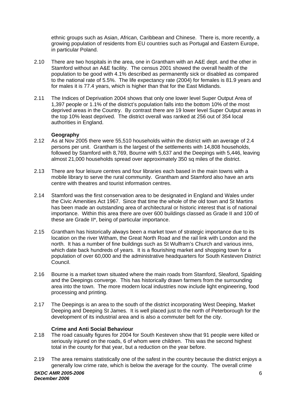ethnic groups such as Asian, African, Caribbean and Chinese. There is, more recently, a growing population of residents from EU countries such as Portugal and Eastern Europe, in particular Poland.

- 2.10 There are two hospitals in the area, one in Grantham with an A&E dept. and the other in Stamford without an A&E facility. The census 2001 showed the overall health of the population to be good with 4.1% described as permanently sick or disabled as compared to the national rate of 5.5%. The life expectancy rate (2004) for females is 81.9 years and for males it is 77.4 years, which is higher than that for the East Midlands.
- 2.11 The Indices of Deprivation 2004 shows that only one lower level Super Output Area of 1,397 people or 1.1% of the district's population falls into the bottom 10% of the most deprived areas in the Country. By contrast there are 19 lower level Super Output areas in the top 10% least deprived. The district overall was ranked at 256 out of 354 local authorities in England.

#### **Geography**

- 2.12 As at Nov 2005 there were 55,510 households within the district with an average of 2.4 persons per unit. Grantham is the largest of the settlements with 14,808 households, followed by Stamford with 8,769, Bourne with 5,637 and the Deepings with 5,446, leaving almost 21,000 households spread over approximately 350 sq miles of the district.
- 2.13 There are four leisure centres and four libraries each based in the main towns with a mobile library to serve the rural community. Grantham and Stamford also have an arts centre with theatres and tourist information centres.
- 2.14 Stamford was the first conservation area to be designated in England and Wales under the Civic Amenities Act 1967. Since that time the whole of the old town and St Martins has been made an outstanding area of architectural or historic interest that is of national importance. Within this area there are over 600 buildings classed as Grade II and 100 of these are Grade II\*, being of particular importance.
- 2.15 Grantham has historically always been a market town of strategic importance due to its location on the river Witham, the Great North Road and the rail link with London and the north. It has a number of fine buildings such as St Wulfram's Church and various inns, which date back hundreds of years. It is a flourishing market and shopping town for a population of over 60,000 and the administrative headquarters for South Kesteven District Council.
- 2.16 Bourne is a market town situated where the main roads from Stamford, Sleaford, Spalding and the Deepings converge. This has historically drawn farmers from the surrounding area into the town. The more modern local industries now include light engineering, food processing and printing.
- 2.17 The Deepings is an area to the south of the district incorporating West Deeping, Market Deeping and Deeping St James. It is well placed just to the north of Peterborough for the development of its industrial area and is also a commuter belt for the city.

#### **Crime and Anti Social Behaviour**

- 2.18 The road casualty figures for 2004 for South Kesteven show that 91 people were killed or seriously injured on the roads, 6 of whom were children. This was the second highest total in the county for that year, but a reduction on the year before.
- 2.19 The area remains statistically one of the safest in the country because the district enjoys a generally low crime rate, which is below the average for the county. The overall crime *SKDC AMR 2005-2006 December 2006*  6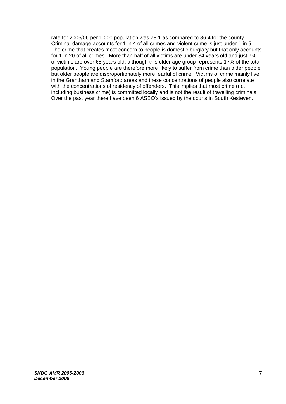rate for 2005/06 per 1,000 population was 78.1 as compared to 86.4 for the county. Criminal damage accounts for 1 in 4 of all crimes and violent crime is just under 1 in 5. The crime that creates most concern to people is domestic burglary but that only accounts for 1 in 20 of all crimes. More than half of all victims are under 34 years old and just 7% of victims are over 65 years old, although this older age group represents 17% of the total population. Young people are therefore more likely to suffer from crime than older people, but older people are disproportionately more fearful of crime. Victims of crime mainly live in the Grantham and Stamford areas and these concentrations of people also correlate with the concentrations of residency of offenders. This implies that most crime (not including business crime) is committed locally and is not the result of travelling criminals. Over the past year there have been 6 ASBO's issued by the courts in South Kesteven.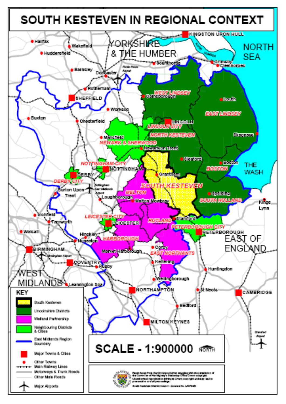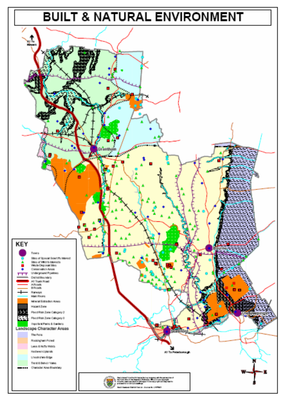# **BUILT & NATURAL ENVIRONMENT**

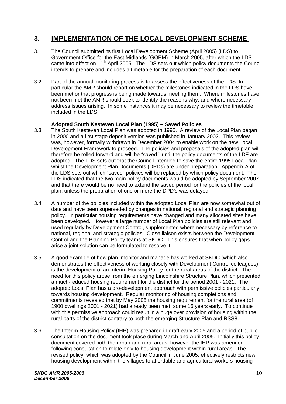## **3. IMPLEMENTATION OF THE LOCAL DEVELOPMENT SCHEME**

- 3.1 The Council submitted its first Local Development Scheme (April 2005) (LDS) to Government Office for the East Midlands (GOEM) in March 2005, after which the LDS came into effect on 11<sup>th</sup> April 2005. The LDS sets out which policy documents the Council intends to prepare and includes a timetable for the preparation of each document.
- 3.2 Part of the annual monitoring process is to assess the effectiveness of the LDS. In particular the AMR should report on whether the milestones indicated in the LDS have been met or that progress is being made towards meeting them. Where milestones have not been met the AMR should seek to identify the reasons why, and where necessary address issues arising. In some instances it may be necessary to review the timetable included in the LDS.

### **Adopted South Kesteven Local Plan (1995) – Saved Policies**

- 3.3 The South Kesteven Local Plan was adopted in 1995. A review of the Local Plan began in 2000 and a first stage deposit version was published in January 2002. This review was, however, formally withdrawn in December 2004 to enable work on the new Local Development Framework to proceed. The policies and proposals of the adopted plan will therefore be rolled forward and will be "saved " until the policy documents of the LDF are adopted. The LDS sets out that the Council intended to save the entire 1995 Local Plan whilst the Development Plan Documents (DPDs) are under preparation. Appendix A of the LDS sets out which "saved" policies will be replaced by which policy document. The LDS indicated that the two main policy documents would be adopted by September 2007 and that there would be no need to extend the saved period for the policies of the local plan, unless the preparation of one or more the DPD's was delayed.
- 3.4 A number of the policies included within the adopted Local Plan are now somewhat out of date and have been superseded by changes in national, regional and strategic planning policy. In particular housing requirements have changed and many allocated sites have been developed. However a large number of Local Plan policies are still relevant and used regularly by Development Control, supplemented where necessary by reference to national, regional and strategic policies. Close liaison exists between the Development Control and the Planning Policy teams at SKDC. This ensures that when policy gaps arise a joint solution can be formulated to resolve it.
- 3.5 A good example of how plan, monitor and manage has worked at SKDC (which also demonstrates the effectiveness of working closely with Development Control colleagues) is the development of an Interim Housing Policy for the rural areas of the district. The need for this policy arose from the emerging Lincolnshire Structure Plan, which presented a much-reduced housing requirement for the district for the period 2001 - 2021. The adopted Local Plan has a pro-development approach with permissive policies particularly towards housing development. Regular monitoring of housing completions and commitments revealed that by May 2005 the housing requirement for the rural area (of 1900 dwellings 2001 - 2021) had already been met, some 16 years early. To continue with this permissive approach could result in a huge over provision of housing within the rural parts of the district contrary to both the emerging Structure Plan and RSS8.
- 3.6 The Interim Housing Policy (IHP) was prepared in draft early 2005 and a period of public consultation on the document took place during March and April 2005. Initially this policy document covered both the urban and rural areas, however the IHP was amended following consultation to relate only to housing development within rural areas. The revised policy, which was adopted by the Council in June 2005, effectively restricts new housing development within the villages to affordable and agricultural workers housing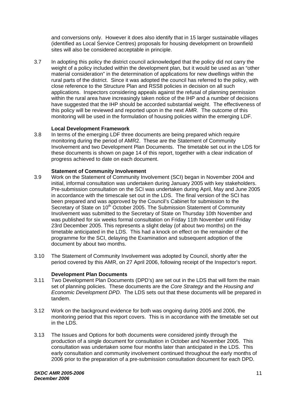and conversions only. However it does also identify that in 15 larger sustainable villages (identified as Local Service Centres) proposals for housing development on brownfield sites will also be considered acceptable in principle.

3.7 In adopting this policy the district council acknowledged that the policy did not carry the weight of a policy included within the development plan, but it would be used as an "other material consideration" in the determination of applications for new dwellings within the rural parts of the district. Since it was adopted the council has referred to the policy, with close reference to the Structure Plan and RSS8 policies in decision on all such applications. Inspectors considering appeals against the refusal of planning permission within the rural area have increasingly taken notice of the IHP and a number of decisions have suggested that the IHP should be accorded substantial weight. The effectiveness of this policy will be reviewed and reported upon in the next AMR. The outcome of this monitoring will be used in the formulation of housing policies within the emerging LDF.

#### **Local Development Framework**

3.8 In terms of the emerging LDF three documents are being prepared which require monitoring during the period of AMR2. These are the Statement of Community Involvement and two Development Plan Documents. The timetable set out in the LDS for these documents is shown on page 14 of this report, together with a clear indication of progress achieved to date on each document.

#### **Statement of Community Involvement**

- 3.9 Work on the Statement of Community Involvement (SCI) began in November 2004 and initial, informal consultation was undertaken during January 2005 with key stakeholders. Pre-submission consultation on the SCI was undertaken during April, May and June 2005 in accordance with the timescale set out in the LDS. The final version of the SCI has been prepared and was approved by the Council's Cabinet for submission to the Secretary of State on 10<sup>th</sup> October 2005. The Submission Statement of Community Involvement was submitted to the Secretary of State on Thursday 10th November and was published for six weeks formal consultation on Friday 11th November until Friday 23rd December 2005. This represents a slight delay (of about two months) on the timetable anticipated in the LDS. This had a knock on effect on the remainder of the programme for the SCI, delaying the Examination and subsequent adoption of the document by about two months.
- 3.10 The Statement of Community Involvement was adopted by Council, shortly after the period covered by this AMR, on 27 April 2006, following receipt of the Inspector's report.

#### **Development Plan Documents**

- 3.11 Two Development Plan Documents (DPD's) are set out in the LDS that will form the main set of planning policies. These documents are the *Core Strategy* and the *Housing and Economic Development DPD*. The LDS sets out that these documents will be prepared in tandem.
- 3.12 Work on the background evidence for both was ongoing during 2005 and 2006, the monitoring period that this report covers. This is in accordance with the timetable set out in the LDS.
- 3.13 The Issues and Options for both documents were considered jointly through the production of a single document for consultation in October and November 2005. This consultation was undertaken some four months later than anticipated in the LDS. This early consultation and community involvement continued throughout the early months of 2006 prior to the preparation of a pre-submission consultation document for each DPD.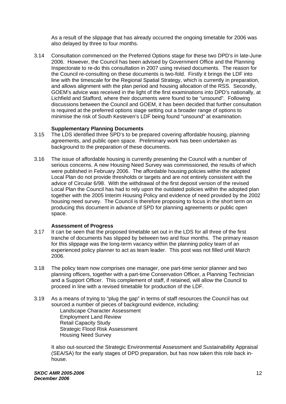As a result of the slippage that has already occurred the ongoing timetable for 2006 was also delayed by three to four months.

3.14 Consultation commenced on the Preferred Options stage for these two DPD's in late-June 2006. However, the Council has been advised by Government Office and the Planning Inspectorate to re-do this consultation in 2007 using revised documents. The reason for the Council re-consulting on these documents is two-fold. Firstly it brings the LDF into line with the timescale for the Regional Spatial Strategy, which is currently in preparation, and allows alignment with the plan period and housing allocation of the RSS. Secondly, GOEM's advice was received in the light of the first examinations into DPD's nationally, at Lichfield and Stafford, where their documents were found to be "unsound". Following discussions between the Council and GOEM, it has been decided that further consultation is required at the preferred options stage setting out a broader range of options to minimise the risk of South Kesteven's LDF being found "unsound" at examination.

#### **Supplementary Planning Documents**

- 3.15 The LDS identified three SPD's to be prepared covering affordable housing, planning agreements, and public open space. Preliminary work has been undertaken as background to the preparation of these documents.
- 3.16 The issue of affordable housing is currently presenting the Council with a number of serious concerns. A new Housing Need Survey was commissioned, the results of which were published in February 2006. The affordable housing policies within the adopted Local Plan do not provide thresholds or targets and are not entirely consistent with the advice of Circular 6/98. With the withdrawal of the first deposit version of the revised Local Plan the Council has had to rely upon the outdated policies within the adopted plan together with the 2005 Interim Housing Policy and evidence of need provided by the 2002 housing need survey. The Council is therefore proposing to focus in the short term on producing this document in advance of SPD for planning agreements or public open space.

#### **Assessment of Progress**

- 3.17 It can be seen that the proposed timetable set out in the LDS for all three of the first tranche of documents has slipped by between two and four months. The primary reason for this slippage was the long-term vacancy within the planning policy team of an experienced policy planner to act as team leader. This post was not filled until March 2006.
- 3.18 The policy team now comprises one manager, one part-time senior planner and two planning officers, together with a part-time Conservation Officer, a Planning Technician and a Support Officer. This complement of staff, if retained, will allow the Council to proceed in line with a revised timetable for production of the LDF.
- 3.19 As a means of trying to "plug the gap" in terms of staff resources the Council has out sourced a number of pieces of background evidence, including:

 Landscape Character Assessment Employment Land Review Retail Capacity Study Strategic Flood Risk Assessment Housing Need Survey

 It also out-sourced the Strategic Environmental Assessment and Sustainability Appraisal (SEA/SA) for the early stages of DPD preparation, but has now taken this role back inhouse.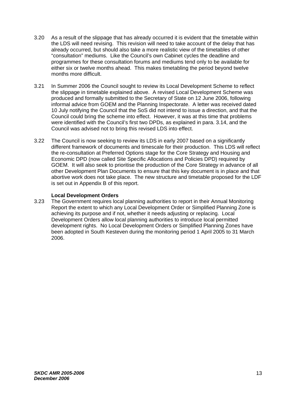- 3.20 As a result of the slippage that has already occurred it is evident that the timetable within the LDS will need revising. This revision will need to take account of the delay that has already occurred, but should also take a more realistic view of the timetables of other "consultation" mediums. Like the Council's own Cabinet cycles the deadline and programmes for these consultation forums and mediums tend only to be available for either six or twelve months ahead. This makes timetabling the period beyond twelve months more difficult.
- 3.21 In Summer 2006 the Council sought to review its Local Development Scheme to reflect the slippage in timetable explained above. A revised Local Development Scheme was produced and formally submitted to the Secretary of State on 12 June 2006, following informal advice from GOEM and the Planning Inspectorate. A letter was received dated 10 July notifying the Council that the SoS did not intend to issue a direction, and that the Council could bring the scheme into effect. However, it was at this time that problems were identified with the Council's first two DPDs, as explained in para. 3.14, and the Council was advised not to bring this revised LDS into effect.
- 3.22 The Council is now seeking to review its LDS in early 2007 based on a significantly different framework of documents and timescale for their production. This LDS will reflect the re-consultation at Preferred Options stage for the Core Strategy and Housing and Economic DPD (now called Site Specific Allocations and Policies DPD) required by GOEM. It will also seek to prioritise the production of the Core Strategy in advance of all other Development Plan Documents to ensure that this key document is in place and that abortive work does not take place. The new structure and timetable proposed for the LDF is set out in Appendix B of this report.

### **Local Development Orders**

3.23 The Government requires local planning authorities to report in their Annual Monitoring Report the extent to which any Local Development Order or Simplified Planning Zone is achieving its purpose and if not, whether it needs adjusting or replacing. Local Development Orders allow local planning authorities to introduce local permitted development rights. No Local Development Orders or Simplified Planning Zones have been adopted in South Kesteven during the monitoring period 1 April 2005 to 31 March 2006.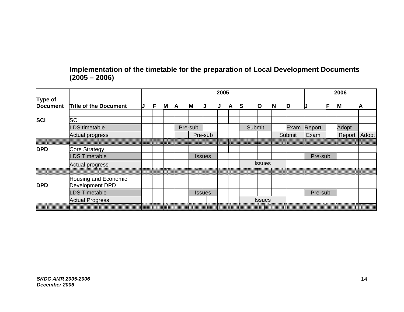### **Implementation of the timetable for the preparation of Local Development Documents (2005 – 2006)**

|                            |                                         |  |    | 2005 |     |         |               |   |  |     |               |   | 2006   |         |    |              |   |
|----------------------------|-----------------------------------------|--|----|------|-----|---------|---------------|---|--|-----|---------------|---|--------|---------|----|--------------|---|
| Type of<br><b>Document</b> | <b>Title of the Document</b>            |  | F. |      | M A | M       | <b>J</b>      | J |  | A S | $\mathbf{o}$  | N | D      |         | F. | M            | A |
| <b>SCI</b>                 | SCI                                     |  |    |      |     |         |               |   |  |     |               |   |        |         |    |              |   |
|                            | <b>DS</b> timetable                     |  |    |      |     | Pre-sub |               |   |  |     | Submit        |   | Exam   | Report  |    | Adopt        |   |
|                            | <b>Actual progress</b>                  |  |    |      |     |         | Pre-sub       |   |  |     |               |   | Submit | Exam    |    | Report Adopt |   |
|                            |                                         |  |    |      |     |         |               |   |  |     |               |   |        |         |    |              |   |
| <b>DPD</b>                 | Core Strategy                           |  |    |      |     |         |               |   |  |     |               |   |        |         |    |              |   |
|                            | <b>DS Timetable</b>                     |  |    |      |     |         | <b>Issues</b> |   |  |     |               |   |        | Pre-sub |    |              |   |
|                            | <b>Actual progress</b>                  |  |    |      |     |         |               |   |  |     | <b>Issues</b> |   |        |         |    |              |   |
|                            |                                         |  |    |      |     |         |               |   |  |     |               |   |        |         |    |              |   |
| <b>DPD</b>                 | Housing and Economic<br>Development DPD |  |    |      |     |         |               |   |  |     |               |   |        |         |    |              |   |
|                            | <b>DS Timetable</b>                     |  |    |      |     |         | <b>Issues</b> |   |  |     |               |   |        | Pre-sub |    |              |   |
|                            | <b>Actual Progress</b>                  |  |    |      |     |         |               |   |  |     | <b>Issues</b> |   |        |         |    |              |   |
|                            |                                         |  |    |      |     |         |               |   |  |     |               |   |        |         |    |              |   |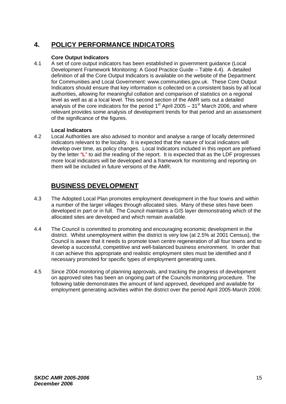# **4. POLICY PERFORMANCE INDICATORS**

### **Core Output Indicators**

4.1 A set of core output indicators has been established in government guidance (Local Development Framework Monitoring: A Good Practice Guide – Table 4.4). A detailed definition of all the Core Output Indicators is available on the website of the Department for Communities and Local Government: www.communities.gov.uk. These Core Output Indicators should ensure that key information is collected on a consistent basis by all local authorities, allowing for meaningful collation and comparison of statistics on a regional level as well as at a local level. This second section of the AMR sets out a detailed analysis of the core indicators for the period  $1<sup>st</sup>$  April 2005 – 31<sup>st</sup> March 2006, and where relevant provides some analysis of development trends for that period and an assessment of the significance of the figures.

### **Local Indicators**

4.2 Local Authorities are also advised to monitor and analyse a range of locally determined indicators relevant to the locality. It is expected that the nature of local indicators will develop over time, as policy changes. Local Indicators included in this report are prefixed by the letter "**L**" to aid the reading of the report. It is expected that as the LDF progresses more local indicators will be developed and a framework for monitoring and reporting on them will be included in future versions of the AMR.

### **BUSINESS DEVELOPMENT**

- 4.3 The Adopted Local Plan promotes employment development in the four towns and within a number of the larger villages through allocated sites. Many of these sites have been developed in part or in full. The Council maintains a GIS layer demonstrating which of the allocated sites are developed and which remain available.
- 4.4 The Council is committed to promoting and encouraging economic development in the district. Whilst unemployment within the district is very low (at 2.5% at 2001 Census), the Council is aware that it needs to promote town centre regeneration of all four towns and to develop a successful, competitive and well-balanced business environment. In order that it can achieve this appropriate and realistic employment sites must be identified and if necessary promoted for specific types of employment generating uses.
- 4.5 Since 2004 monitoring of planning approvals, and tracking the progress of development on approved sites has been an ongoing part of the Councils monitoring procedure. The following table demonstrates the amount of land approved, developed and available for employment generating activities within the district over the period April 2005-March 2006: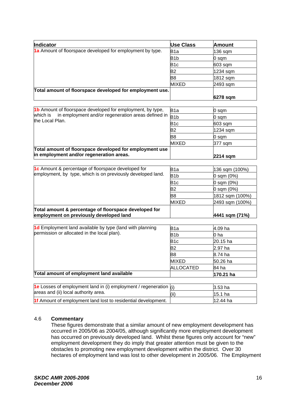| Indicator                                                 | <b>Use Class</b> | Amount     |
|-----------------------------------------------------------|------------------|------------|
| 1a Amount of floorspace developed for employment by type. | B <sub>1</sub> a | $136$ sqm  |
|                                                           | B <sub>1</sub> b | 0 sam      |
|                                                           | B <sub>1c</sub>  | $603$ sqm  |
|                                                           | B2               | $1234$ sqm |
|                                                           | B8               | 1812 sqm   |
|                                                           | <b>MIXED</b>     | 2493 sqm   |
| Total amount of floorspace developed for employment use.  |                  |            |
|                                                           |                  | 6278 sqm   |

| 1b Amount of floorspace developed for employment, by type,                   | B <sub>1</sub> a | 0 sqm     |
|------------------------------------------------------------------------------|------------------|-----------|
| which is in employment and/or regeneration areas defined in $\overline{B1b}$ |                  | 0 sam     |
| the Local Plan.                                                              | B <sub>1c</sub>  | $603$ sqm |
|                                                                              | B2               | 1234 sqm  |
|                                                                              | B8               | 0 sam     |
|                                                                              | <b>MIXED</b>     | 377 sqm   |
| Total amount of floorspace developed for employment use                      |                  |           |
| in employment and/or regeneration areas.                                     |                  | 2214 sqm  |

| 1c Amount & percentage of floorspace developed for          | B1a              | 136 sqm (100%)  |
|-------------------------------------------------------------|------------------|-----------------|
| employment, by type, which is on previously developed land. | B <sub>1</sub> b | $0$ sqm $(0%)$  |
|                                                             | B <sub>1</sub> c | $0$ sqm $(0%)$  |
|                                                             | B <sub>2</sub>   | $0$ sqm $(0%)$  |
|                                                             | B8               | 1812 sqm (100%) |
|                                                             | <b>MIXED</b>     | 2493 sqm (100%) |
| Total amount & percentage of floorspace developed for       |                  |                 |
| employment on previously developed land                     |                  | 4441 sqm (71%)  |

| B <sub>1</sub> a | 4.09 ha   |  |  |
|------------------|-----------|--|--|
| B1b              | 0 ha      |  |  |
| B <sub>1c</sub>  | 20.15 ha  |  |  |
| B2               | 2.97 ha   |  |  |
| B8               | 8.74 ha   |  |  |
| <b>MIXED</b>     | 50.26 ha  |  |  |
| <b>ALLOCATED</b> | 84 ha     |  |  |
|                  | 170.21 ha |  |  |
|                  |           |  |  |

| <b>1e</b> Losses of employment land in (i) employment / regeneration $(i)$ |      | $3.53$ ha  |
|----------------------------------------------------------------------------|------|------------|
| areas and (ii) local authority area.                                       | (ii) | $15.1$ ha  |
| 1f Amount of employment land lost to residential development.              |      | $12.44$ ha |

### 4.6 **Commentary**

These figures demonstrate that a similar amount of new employment development has occurred in 2005/06 as 2004/05, although significantly more employment development has occurred on previously developed land. Whilst these figures only account for "new" employment development they do imply that greater attention must be given to the obstacles to promoting new employment development within the district. Over 30 hectares of employment land was lost to other development in 2005/06. The Employment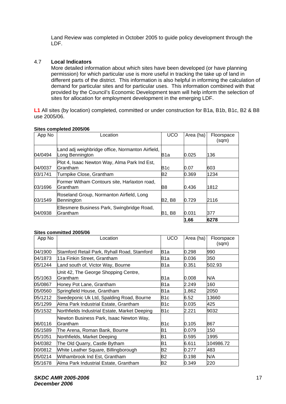Land Review was completed in October 2005 to guide policy development through the LDF.

### 4.7 **Local Indicators**

More detailed information about which sites have been developed (or have planning permission) for which particular use is more useful in tracking the take up of land in different parts of the district. This information is also helpful in informing the calculation of demand for particular sites and for particular uses. This information combined with that provided by the Council's Economic Development team will help inform the selection of sites for allocation for employment development in the emerging LDF.

**L1** All sites (by location) completed, committed or under construction for B1a, B1b, B1c, B2 & B8 use 2005/06.

| App No  | Location                                                            | <b>UCO</b>       | Area (ha) | Floorspace<br>(sqm) |
|---------|---------------------------------------------------------------------|------------------|-----------|---------------------|
| 04/0494 | Land adj weighbridge office, Normanton Airfield,<br>Long Bennington | B <sub>1</sub> a | 0.025     | 136                 |
| 04/0037 | Plot 4, Isaac Newton Way, Alma Park Ind Est,<br>Grantham            | B <sub>1c</sub>  | 0.07      | 603                 |
| 03/1741 | Turnpike Close, Grantham                                            | <b>B2</b>        | 0.369     | 1234                |
| 03/1696 | Former Witham Contours site, Harlaxton road,<br>Grantham            | B8               | 0.436     | 1812                |
| 03/1549 | Roseland Group, Normanton Airfield, Long<br>Bennington              | B2, B8           | 0.729     | 2116                |
| 04/0938 | Ellesmere Business Park, Swingbridge Road,<br>Grantham              | <b>B1, B8</b>    | 0.031     | 377                 |
|         |                                                                     |                  | 1.66      | 6278                |

#### **Sites completed 2005/06**

#### **Sites committed 2005/06**

| App No  | Location                                             | <b>UCO</b>       | Area (ha) | Floorspace |
|---------|------------------------------------------------------|------------------|-----------|------------|
|         |                                                      |                  |           | (sqm)      |
| 04/1900 | Stamford Retail Park, Ryhall Road, Stamford          | B1a              | 0.298     | 990        |
| 04/1873 | 11a Finkin Street, Grantham                          | B1a              | 0.036     | 350        |
| 05/1244 | Land south of, Victor Way, Bourne                    | B1a              | 0.351     | 502.93     |
| 05/1063 | Unit 42, The George Shopping Centre,<br>Grantham     | B1a              | 0.008     | N/A        |
| 05/0867 | Honey Pot Lane, Grantham                             | B1a              | 2.249     | 160        |
| 05/0560 | Springfield House, Grantham                          | B <sub>1</sub> a | 1.862     | 2050       |
| 05/1212 | Swedeponic Uk Ltd, Spalding Road, Bourne             | B1c              | 6.52      | 13660      |
| 05/1299 | Alma Park Industrial Estate, Grantham                | B1c              | 0.035     | 425        |
| 05/1532 | Northfields Industrial Estate, Market Deeping        | B <sub>1</sub> c | 2.221     | 9032       |
| 06/0116 | Newton Business Park, Isaac Newton Way,<br>lGrantham | B1c              | 0.105     | 867        |
| 05/1589 | The Arena, Roman Bank, Bourne                        | B1               | 0.079     | 150        |
| 05/1051 | Northfields, Market Deeping                          | <b>B1</b>        | 0.595     | 1995       |
| 04/0382 | The Old Quarry, Castle Bytham                        | <b>B1</b>        | 6.611     | 104986.72  |
| 00/0812 | White Leather Square, Billingborough                 | B2               | 0.277     | 483        |
| 05/0214 | Withambrook Ind Est, Grantham                        | B2               | 0.198     | N/A        |
| 05/1678 | Alma Park Industrial Estate, Grantham                | B2               | 0.349     | 220        |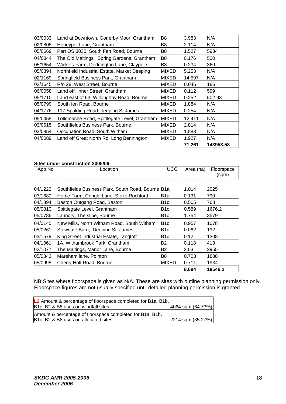| 03/0033 | Land at Downtown, Gonerby Moor, Grantham     | B8           | 3.983  | N/A       |
|---------|----------------------------------------------|--------------|--------|-----------|
| 02/0805 | Honeypot Lane, Grantham                      | B8           | 2.114  | N/A       |
| 05/0669 | Part OS 3030, South Fen Road, Bourne         | B8           | 1.527  | 5934      |
| 04/0844 | The Old Maltings, Spring Gardens, Grantham   | B8           | 0.176  | 500       |
| 05/1654 | Wickets Farm, Doddington Lane, Claypole      | B8           | 0.234  | 360       |
| 05/0894 | Northfield Industrial Estate, Market Deeping | <b>MIXED</b> | 5.253  | N/A       |
| 02/1169 | Springfield Business Park, Grantham          | MIXED        | 14.597 | N/A       |
| 02/1645 | R/o 28, West Street, Bourne                  | MIXED        | 0.046  | 186       |
| 06/0058 | Land off, Inner Street, Grantham             | MIXED        | 0.112  | 599       |
| 05/1710 | Land east of 63, Willoughby Road, Bourne     | MIXED        | 0.252  | 502.93    |
| 05/0799 | South fen Road, Bourne                       | <b>MIXED</b> | 1.884  | N/A       |
| 04/1776 | 117 Spalding Road, deeping St James          | MIXED        | 0.254  | N/A       |
| 05/0458 | Tollemache Road, Spittlegate Level, Grantham | MIXED        | 12.411 | N/A       |
| 03/0615 | Southfields Business Park, Bourne            | MIXED        | 2.814  | N/A       |
| 03/0854 | Occupation Road, South Witham                | MIXED        | 1.883  | N/A       |
| 04/0089 | Land off Great North Rd, Long Bennington     | MIXED        | 1.927  | N/A       |
|         |                                              |              | 71.261 | 143953.58 |

#### **Sites under construction 2005/06**

| App No  | Location                                      | <b>UCO</b>   | Area (ha) | Floorspace<br>(sqm) |
|---------|-----------------------------------------------|--------------|-----------|---------------------|
|         |                                               |              |           |                     |
| 04/1222 | Southfields Business Park, South Road, Bourne | B1a          | 1.014     | 2025                |
| 03/1680 | Home Farm, Cringle Lane, Stoke Rochford       | B1a          | 0.131     | 790                 |
| 04/1894 | Baston Outgang Road, Baston                   | B1c          | 0.505     | 768                 |
| 05/0810 | Spittlegate Level, Grantham                   | B1c          | 0.589     | 1676.2              |
| 05/0786 | Laundry, The slipe, Bourne                    | B1c          | 1.754     | 3579                |
| 04/0145 | New Mills, North Witham Road, South Witham    | B1c          | 0.957     | 1078                |
| 05/0261 | Stowgate Barn, Deeping St. James              | B1c          | 0.062     | 132                 |
| 03/1579 | King Street Industrial Estate, Langtoft       | B1c          | 0.12      | 1308                |
| 04/1061 | 1A, Withambrook Park, Grantham                | B2           | 0.118     | 413                 |
| 02/1077 | The Maltings, Manor Lane, Bourne              | <b>B2</b>    | 2.03      | 2955                |
| 05/0343 | Mareham lane, Pointon                         | B8           | 0.703     | 1888                |
| 05/0998 | Cherry Holt Road, Bourne                      | <b>MIXED</b> | 0.711     | 1934                |
|         |                                               |              | 8.694     | 18546.2             |

NB Sites where floorspace is given as N/A. These are sites with outline planning permission only. Floorspace figures are not usually specified until detailed planning permission is granted.

| <b>L2</b> Amount & percentage of floorspace completed for B1a, B1b,                                |                       |
|----------------------------------------------------------------------------------------------------|-----------------------|
| B1c, B2 & B8 uses on windfall sites.                                                               | 4064 sqm (64.73%)     |
| Amount & percentage of floorspace completed for B1a, B1b,<br>B1c, B2 & B8 uses on allocated sites. | $2214$ sqm $(35.27%)$ |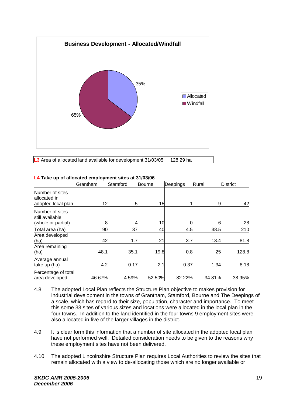

**L3** Area of allocated land available for development 31/03/05 128.29 ha

|                                                          | Grantham | Stamford | <b>Bourne</b> | Deepings | Rural  | <b>District</b> |
|----------------------------------------------------------|----------|----------|---------------|----------|--------|-----------------|
| Number of sites<br>allocated in<br>adopted local plan    | 12       | 5        | 15            |          | 9      | 42              |
| Number of sites<br>still available<br>(whole or partial) | 8        |          | 10            |          | 6      | 28              |
| Total area (ha)                                          | 90       | 37       | 40            | 4.5      | 38.5   | 210             |
| Area developed<br>(ha)                                   | 42       | 1.7      | 21            | 3.7      | 13.4   | 81.8            |
| Area remaining<br>(ha)                                   | 48.1     | 35.1     | 19.8          | 0.8      | 25     | 128.8           |
| Average annual<br>take up (ha)                           | 4.2      | 0.17     | 2.1           | 0.37     | 1.34   | 8.18            |
| Percentage of total<br>area developed                    | 46.67%   | 4.59%    | 52.50%        | 82.22%   | 34.81% | 38.95%          |

#### **L4 Take up of allocated employment sites at 31/03/06**

- 4.8 The adopted Local Plan reflects the Structure Plan objective to makes provision for industrial development in the towns of Grantham, Stamford, Bourne and The Deepings of a scale, which has regard to their size, population, character and importance. To meet this some 33 sites of various sizes and locations were allocated in the local plan in the four towns. In addition to the land identified in the four towns 9 employment sites were also allocated in five of the larger villages in the district.
- 4.9 It is clear form this information that a number of site allocated in the adopted local plan have not performed well. Detailed consideration needs to be given to the reasons why these employment sites have not been delivered.
- 4.10 The adopted Lincolnshire Structure Plan requires Local Authorities to review the sites that remain allocated with a view to de-allocating those which are no longer available or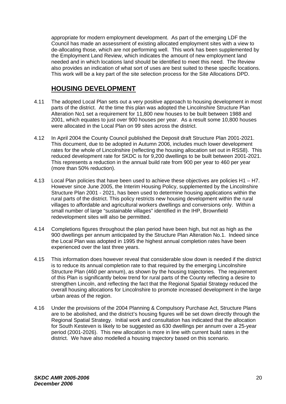appropriate for modern employment development. As part of the emerging LDF the Council has made an assessment of existing allocated employment sites with a view to de-allocating those, which are not performing well. This work has been supplemented by the Employment Land Review, which indicates the amount of new employment land needed and in which locations land should be identified to meet this need. The Review also provides an indication of what sort of uses are best suited to these specific locations. This work will be a key part of the site selection process for the Site Allocations DPD.

### **HOUSING DEVELOPMENT**

- 4.11 The adopted Local Plan sets out a very positive approach to housing development in most parts of the district. At the time this plan was adopted the Lincolnshire Structure Plan Alteration No1 set a requirement for 11,800 new houses to be built between 1988 and 2001, which equates to just over 900 houses per year. As a result some 10,800 houses were allocated in the Local Plan on 99 sites across the district.
- 4.12 In April 2004 the County Council published the Deposit draft Structure Plan 2001-2021. This document, due to be adopted in Autumn 2006, includes much lower development rates for the whole of Lincolnshire (reflecting the housing allocation set out in RSS8). This reduced development rate for SKDC is for 9,200 dwellings to be built between 2001-2021. This represents a reduction in the annual build rate from 900 per year to 460 per year (more than 50% reduction).
- 4.13 Local Plan policies that have been used to achieve these objectives are policies H1 H7. However since June 2005, the Interim Housing Policy, supplemented by the Lincolnshire Structure Plan 2001 - 2021, has been used to determine housing applications within the rural parts of the district. This policy restricts new housing development within the rural villages to affordable and agricultural workers dwellings and conversions only. Within a small number of large "sustainable villages" identified in the IHP, Brownfield redevelopment sites will also be permitted.
- 4.14 Completions figures throughout the plan period have been high, but not as high as the 900 dwellings per annum anticipated by the Structure Plan Alteration No.1. Indeed since the Local Plan was adopted in 1995 the highest annual completion rates have been experienced over the last three years.
- 4.15 This information does however reveal that considerable slow down is needed if the district is to reduce its annual completion rate to that required by the emerging Lincolnshire Structure Plan (460 per annum), as shown by the housing trajectories. The requirement of this Plan is significantly below trend for rural parts of the County reflecting a desire to strengthen Lincoln, and reflecting the fact that the Regional Spatial Strategy reduced the overall housing allocations for Lincolnshire to promote increased development in the large urban areas of the region.
- 4.16 Under the provisions of the 2004 Planning & Compulsory Purchase Act, Structure Plans are to be abolished, and the district's housing figures will be set down directly through the Regional Spatial Strategy. Initial work and consultation has indicated that the allocation for South Kesteven is likely to be suggested as 630 dwellings per annum over a 25-year period (2001-2026). This new allocation is more in line with current build rates in the district. We have also modelled a housing trajectory based on this scenario.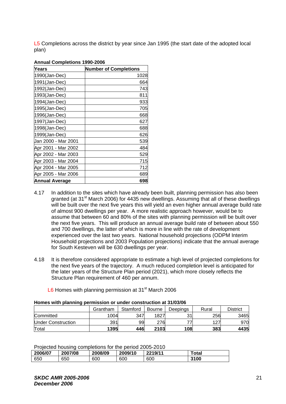L5 Completions across the district by year since Jan 1995 (the start date of the adopted local plan)

| Years                 | <b>Number of Completions</b> |
|-----------------------|------------------------------|
| 1990(Jan-Dec)         | 1028                         |
| 1991(Jan-Dec)         | 664                          |
| 1992(Jan-Dec)         | 743                          |
| 1993(Jan-Dec)         | 811                          |
| 1994(Jan-Dec)         | 933                          |
| 1995(Jan-Dec)         | 705                          |
| 1996(Jan-Dec)         | 668                          |
| 1997(Jan-Dec)         | 627                          |
| 1998(Jan-Dec)         | 688                          |
| 1999(Jan-Dec)         | 626                          |
| Jan 2000 - Mar 2001   | 539                          |
| Apr 2001 - Mar 2002   | 484                          |
| Apr 2002 - Mar 2003   | 529                          |
| Apr 2003 - Mar 2004   | 715                          |
| Apr 2004 - Mar 2005   | 712                          |
| Apr 2005 - Mar 2006   | 689                          |
| <b>Annual Average</b> | 698                          |

#### **Annual Completions 1990-2006**

- 4.17 In addition to the sites which have already been built, planning permission has also been granted (at 31<sup>st</sup> March 2006) for 4435 new dwellings. Assuming that all of these dwellings will be built over the next five years this will yield an even higher annual average build rate of almost 900 dwellings per year. A more realistic approach however, would be to assume that between 60 and 80% of the sites with planning permission will be built over the next five years. This will produce an annual average build rate of between about 550 and 700 dwellings, the latter of which is more in line with the rate of development experienced over the last two years. National household projections (ODPM Interim Household projections and 2003 Population projections) indicate that the annual average for South Kesteven will be 630 dwellings per year.
- 4.18 It is therefore considered appropriate to estimate a high level of projected completions for the next five years of the trajectory. A much reduced completion level is anticipated for the later years of the Structure Plan period (2021), which more closely reflects the Structure Plan requirement of 460 per annum.

| L6 Homes with planning permission at 31 <sup>st</sup> March 2006 |
|------------------------------------------------------------------|
|------------------------------------------------------------------|

| <u>HUMBO WILLI DIGHIHING DUTHISSION OF GHUUT CONSHUUDIT GEO MOODOO</u> |          |          |        |          |       |                 |  |  |  |
|------------------------------------------------------------------------|----------|----------|--------|----------|-------|-----------------|--|--|--|
|                                                                        | Grantham | Stamford | Bourne | Deepings | Rural | <b>District</b> |  |  |  |
| Committed                                                              | 1004     | 347      | 1827   | 21       | 256   | 3465            |  |  |  |
| Under Construction                                                     | 391      | 99       | 276    |          | 127   | 970             |  |  |  |
| Total                                                                  | 1395     | 446      | 2103   | 108      | 383   | 4435            |  |  |  |

### **Homes with planning permission or under construction at 31/03/06**

Projected housing completions for the period 2005-2010

| 2006/07 | 2007/08 | 2008/09 | 2009/10 | 2219/11 | Total |
|---------|---------|---------|---------|---------|-------|
| 650     | 650     | 600     | 600     | 600     | 3100  |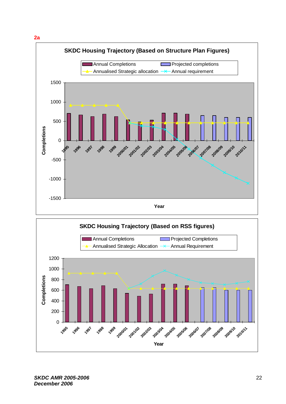



*SKDC AMR 2005-2006 December 2006*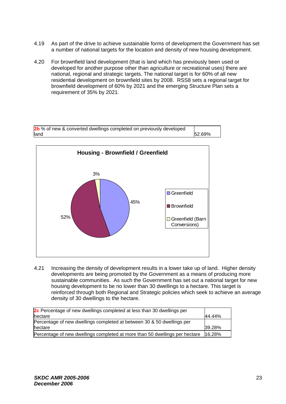- 4.19 As part of the drive to achieve sustainable forms of development the Government has set a number of national targets for the location and density of new housing development.
- 4.20 For brownfield land development (that is land which has previously been used or developed for another purpose other than agriculture or recreational uses) there are national, regional and strategic targets. The national target is for 60% of all new residential development on brownfield sites by 2008. RSS8 sets a regional target for brownfield development of 60% by 2021 and the emerging Structure Plan sets a requirement of 35% by 2021.



4.21 Increasing the density of development results in a lower take up of land. Higher density developments are being promoted by the Government as a means of producing more sustainable communities. As such the Government has set out a national target for new housing development to be no lower than 30 dwellings to a hectare. This target is reinforced through both Regional and Strategic policies which seek to achieve an average density of 30 dwellings to the hectare.

| 2c Percentage of new dwellings completed at less than 30 dwellings per      |        |  |  |  |  |  |  |
|-----------------------------------------------------------------------------|--------|--|--|--|--|--|--|
| hectare                                                                     | 44.44% |  |  |  |  |  |  |
| Percentage of new dwellings completed at between 30 & 50 dwellings per      |        |  |  |  |  |  |  |
| hectare                                                                     | 39.28% |  |  |  |  |  |  |
| Percentage of new dwellings completed at more than 50 dwellings per hectare | 16.28% |  |  |  |  |  |  |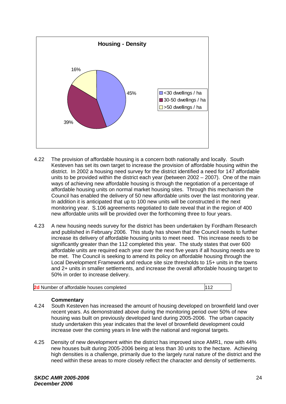

- 4.22 The provision of affordable housing is a concern both nationally and locally. South Kesteven has set its own target to increase the provision of affordable housing within the district. In 2002 a housing need survey for the district identified a need for 147 affordable units to be provided within the district each year (between 2002 – 2007). One of the main ways of achieving new affordable housing is through the negotiation of a percentage of affordable housing units on normal market housing sites. Through this mechanism the Council has enabled the delivery of 50 new affordable units over the last monitoring year. In addition it is anticipated that up to 100 new units will be constructed in the next monitoring year. S.106 agreements negotiated to date reveal that in the region of 400 new affordable units will be provided over the forthcoming three to four years.
- 4.23 A new housing needs survey for the district has been undertaken by Fordham Research and published in February 2006. This study has shown that the Council needs to further increase its delivery of affordable housing units to meet need. This increase needs to be significantly greater than the 112 completed this year. The study states that over 600 affordable units are required each year over the next five years if all housing needs are to be met. The Council is seeking to amend its policy on affordable housing through the Local Development Framework and reduce site size thresholds to 15+ units in the towns and 2+ units in smaller settlements, and increase the overall affordable housing target to 50% in order to increase delivery.

#### **Commentary**

- 4.24 South Kesteven has increased the amount of housing developed on brownfield land over recent years. As demonstrated above during the monitoring period over 50% of new housing was built on previously developed land during 2005-2006. The urban capacity study undertaken this year indicates that the level of brownfield development could increase over the coming years in line with the national and regional targets.
- 4.25 Density of new development within the district has improved since AMR1, now with 44% new houses built during 2005-2006 being at less than 30 units to the hectare. Achieving high densities is a challenge, primarily due to the largely rural nature of the district and the need within these areas to more closely reflect the character and density of settlements.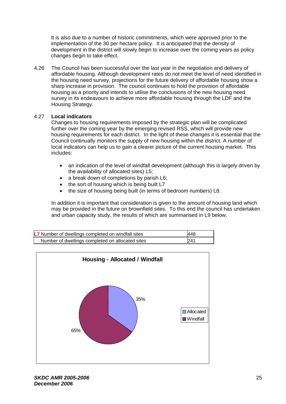It is also due to a number of historic commitments, which were approved prior to the implementation of the 30 per hectare policy. It is anticipated that the density of development in the district will slowly begin to increase over the coming years as policy changes begin to take effect.

4.26 The Council has been successful over the last year in the negotiation and delivery of affordable housing. Although development rates do not meet the level of need identified in the housing need survey, projections for the future delivery of affordable housing show a sharp increase in provision. The council continues to hold the provision of affordable housing as a priority and intends to utilise the conclusions of the new housing need survey in its endeavours to achieve more affordable housing through the LDF and the Housing Strategy.

### 4.27 **Local indicators**

Changes to housing requirements imposed by the strategic plan will be complicated further over the coming year by the emerging revised RSS, which will provide new housing requirements for each district. In the light of these changes it is essential that the Council continually monitors the supply of new housing within the district. A number of local indicators can help us to gain a clearer picture of the current housing market. This includes:

- an indication of the level of windfall development (although this is largely driven by the availability of allocated sites) L5;
- a break down of completions by parish L6;
- the sort of housing which is being built L7
- the size of housing being built (in terms of bedroom numbers) L8.

In addition it is important that consideration is given to the amount of housing land which may be provided in the future on brownfield sites. To this end the council has undertaken and urban capacity study, the results of which are summarised in L9 below.

| L7 Number of dwellings completed on windfall sites | 448 |
|----------------------------------------------------|-----|
| Number of dwellings completed on allocated sites   | 241 |

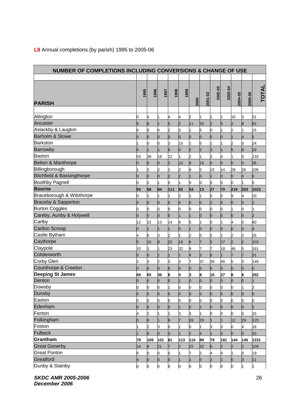| <b>NUMBER OF COMPLETIONS INCLUDING CONVERSIONS &amp; CHANGE OF USE</b> |        |                |                |                |        |                |                |              |                           |                |                |                |
|------------------------------------------------------------------------|--------|----------------|----------------|----------------|--------|----------------|----------------|--------------|---------------------------|----------------|----------------|----------------|
|                                                                        |        |                |                |                |        |                |                |              |                           |                |                |                |
| <b>PARISH</b>                                                          | 1995   | 1996           | 1997           | 1998           | 1999   | 2000           | 2001-02        | 2002-03      | 2003-04                   | 2004-05        | 2005-06        | <b>TOTAL</b>   |
| Allington                                                              |        |                |                |                |        |                |                |              |                           |                |                |                |
| Ancaster                                                               | 0<br>9 | 4<br>8         |                | 4<br>5         | 4<br>2 | 2<br>11        | 35             | 2            | 1<br>9                    | 10<br>2        | 3<br>8         | 31<br>92       |
| Aslackby & Laugton                                                     | 0      | 0              | 0              | $\overline{2}$ | З      | 1              | 5              | 0            | 1                         | $\overline{c}$ |                | 15             |
| <b>Barholm &amp; Stowe</b>                                             | 0      | $\overline{0}$ | 0              | o              | 0      | $\overline{0}$ | 0              | O            | 0                         |                | 4              | 5              |
| <b>Barkston</b>                                                        |        | 0              | 0              | 3              | 10     |                | 5              |              | 1                         | 2              | 0              | 24             |
| <b>Barrowby</b>                                                        | 0      | $\mathbf{1}$   | $\mathbf{1}$   | 6              | O      | $\overline{2}$ | 2              | 3            | $\overline{1}$            | 5              | 8              | 29             |
| <b>Baston</b>                                                          | 53     | 38             | 18             | 12             |        | $\overline{c}$ |                | 3            | 4                         |                | 0              | 133            |
| <b>Belton &amp; Manthorpe</b>                                          | ი      | 0              | 0              | l2             | 10     | 9              | 15             | O            | $\overline{0}$            | 0              | 0              | 36             |
| Billingborough                                                         |        | $\overline{2}$ | 2              | $\mathbf{1}$   | 2      | 9              | 5              | 15           | 14                        | 28             | 26             | 105            |
| <b>Bitchfield &amp; Bassingthorpe</b>                                  | 0      | IО             | Ю              | 2              | 2      | 1              | $\overline{0}$ | $\mathbf{1}$ | 0                         | 0              | O              | 6              |
| <b>Boothby Pagnell</b>                                                 | 0      | 2              | 1              | 0              |        | 0              | 0              | 0            | 0                         | 0              | 1              | 5              |
| <b>Bourne</b>                                                          | 93     | 58             | 84             | 111            | 92     | 53             | 13             | 27           | 70                        | 219            | 203            | 1023           |
| Braceborough & Wilsthorpe                                              | 0      | 1              | 1              | 1              | 2      |                |                | 0            | 0                         | 9              | 4              | 20             |
| Braceby & Sapperton                                                    | 0      | 0              | 0              | O              | 0      | 0              | 0              | l2           | $\overline{0}$            | 0              | 0              | 2              |
| <b>Burton Coggles</b>                                                  | 0      | 0              | 0              | 0              | 0      | 0              | ი              | 0            | 0                         |                | 0              |                |
| Careby, Aunby & Holywell                                               | Ю      | 0              | 0              | O              |        | 1              | ი              | 0            | 0                         | 0              | 0              | $\overline{2}$ |
| Carlby                                                                 | 12     | 22             | 13             | 14             | 8      | 5              |                | 0            | 1                         | 4              | 0              | 80             |
| <b>Carlton Scroop</b>                                                  | 0      | 1              |                |                | 0      |                | O              | 0            | 0                         | 0              | 0              | 4              |
| Castle Bytham                                                          | 4      | 6              | 3              | 2              |        | $\overline{c}$ | ი              | 2            | $\mathbf 1$               | 2              | 2              | 25             |
| Caythorpe                                                              | 5      | 10             | 8              | 22             | 19     | 6              |                | 5            | 17                        | $\overline{2}$ | l2             | 103            |
| Claypole                                                               | 10     | 3              |                | 23             | 32     | 9              |                |              | 18                        | 46             | 5              | 161            |
| Colsterworth                                                           | 5      | 0              | $\overline{2}$ |                |        | 4              | 3              | 0            | $\overline{1}$            | 7              |                | 31             |
| Corby Glen                                                             |        | 3              | 2              | 3              | 3      | 7              | 37             | 39           | 45                        | 5              | 3              | 149            |
| Counthorpe & Creeton                                                   | Ю      | lo             | 0              | O              | O      | $\overline{0}$ | $\overline{0}$ | 0            | $\overline{0}$            | 0              | 0              | 0              |
| <b>Deeping St James</b>                                                | 69     | 65             | 36             | 8              | 4      | 3              | 8              | 16           | 27                        | 8              | 8              | 252            |
| Denton                                                                 | 0      | Ю              | Ю              | O              |        | 0              |                | O            | IO.                       | Ю              | O              |                |
| Dowsby                                                                 | O.     | 0              | O              |                | n      | 0              |                | 0            | 0                         | O.             |                | 2              |
| Dunsby                                                                 | 0      | $\overline{0}$ | 0              | 0              | O      | 0              | ი              | 0            | 0                         | 0              | 0              | 0              |
| Easton                                                                 |        | 0              | 0              | 0              |        | 0              |                | 0            | 0                         | ი              | 0              | 0              |
| Edenham                                                                | 0      | 0              | 0              | Ю              |        | 0              |                | 0            | 0                         | 0              | 0              | 2              |
| Fenton                                                                 |        | $\overline{2}$ |                |                | 3      | 3              |                | 0            | 0                         | 0              | 0              | 15             |
| Folkingham                                                             |        | 8              |                | 9              |        | 28             | 29             |              |                           | 12             | 29             | 125            |
| Foston                                                                 |        | 2              | 3              |                |        |                |                | 3            | 3                         | ი              |                | 18             |
| <b>Fulbeck</b>                                                         |        | 0              | 0              | 3              |        | $\overline{2}$ |                |              | 3                         | 0              | 0              | 15             |
| Grantham                                                               | 79     | 109            | 101            | 81             | 113    | 110            | 89             | 79           | 181                       | 144            | 145            | 1231           |
| <b>Great Gonerby</b>                                                   | 14     | 8              | 21             |                | 2      | 25             | 20             | 6            | $\overline{2}$            |                | $\overline{2}$ | 109            |
| <b>Great Ponton</b><br>Greatford                                       | 0      | 0              | 0              | 0              |        | 7              | 2              | 4            | 4                         |                | 0              | 19             |
| Gunby & Stainby                                                        | 4      | $\overline{0}$ | 0              | 0              |        | 1              | 0              | $\mathbf{1}$ | $\mathbf{1}$              | 0              | 3              | 11             |
|                                                                        | 0      | $\mathsf{O}$   | $\mathbf{0}$   | $\circ$        | þ      | $\mathsf{o}$   | 0              | $\mathbf{0}$ | $\mathsf{I}_{\mathsf{O}}$ | 0              | $\mathbf{1}$   | 1              |

### **L8** Annual completions (by parish) 1995 to 2005-06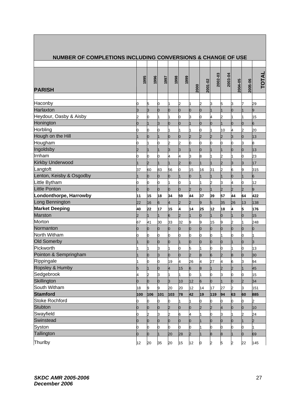| <b>NUMBER OF COMPLETIONS INCLUDING CONVERSIONS &amp; CHANGE OF USE</b> |      |                |                |                |                |              |                |          |                |                |                |              |
|------------------------------------------------------------------------|------|----------------|----------------|----------------|----------------|--------------|----------------|----------|----------------|----------------|----------------|--------------|
|                                                                        |      |                |                |                |                |              |                |          |                |                |                |              |
| <b>PARISH</b>                                                          | 1995 | 1996           | 1997           | 1998           | 1999           | 2000         | 2001-02        | 2002-03  | 2003-04        | 2004-05        | 2005-06        | <b>TOTAL</b> |
|                                                                        |      |                |                |                |                |              |                |          |                |                |                |              |
| Haconby                                                                | 0    | 5              | 0              |                | 2              |              | 2              | 3        | 5              | ß              |                | 29           |
| Harlaxton                                                              | З    | 3              | 0              | 0              | 0              | 0            | 0              |          | 1              | Ю              |                | 9            |
| Heydour, Oasby & Aisby                                                 | 2    | 0              | 1              |                | 0              | З            | 0              | 4        | 2              |                |                | 15           |
| Honington                                                              | 0    |                | 3              | O              | 0              | $\mathbf{1}$ | $\overline{0}$ | 0        | $\overline{1}$ | O              | 0              | 6            |
| Horbling                                                               | 0    | 0              | 0              |                |                | 1            | 0              |          | 10             | 4              | 2              | 20           |
| Hough on the Hill                                                      |      | Ю              | $\mathbf 1$    | Ю              | 0              | 2            | 2              | I2       | $\overline{2}$ | IЗ             | 0              | 13           |
| Hougham                                                                | 0    |                | 0              | 2              | 2              | 0            | 0              | 0        | 0              | 0              | з              | 8            |
| Ingoldsby                                                              |      |                |                | 3              | З              |              | 0              |          |                | 0              |                | 13           |
| Irnham                                                                 | 0    | 0              | 0              | 4              | 4              | 3            | 8              |          | 2              |                | 0              | 23           |
| <b>Kirkby Underwood</b>                                                |      | $\overline{2}$ | $\overline{1}$ |                | b.             | ю            | $\mathbf{1}$   |          | $\overline{2}$ | lз             | 3              | 17           |
| Langtoft                                                               | 37   | 60             | 83             | 56             | O              | 15           | 16             | 31       | $\overline{2}$ | 6              | 9              | 315          |
| Lenton, Keisby & Osgodby                                               |      | Ю              | 0              | 0              |                | 0            |                |          |                | 0              |                | 6            |
| Little Bytham                                                          | 0    | 0              | 0              |                | 0              |              |                | 2        | 3              | 4              | 0              | 12           |
| <b>Little Ponton</b>                                                   | 0    | O              | 0              | $\overline{0}$ | 0              | l2           | 0              |          | $\overline{2}$ | $\overline{2}$ | $\overline{2}$ | 9            |
| Londonthorpe, Harrowby                                                 | 11   | 15             | 18             | 34             | 59             | 44           | 37             | 39       | 57             | 44             | 64             | 422          |
| Long Bennington                                                        | 22   | 16             | 6              | 4              | $\overline{c}$ | l2           | 9              | 5        | 35             | 26             | 13             | 138          |
| <b>Market Deeping</b>                                                  | 40   | 22             | 17             | 15             | 4              | 14           | 25             | 12       | 18             | 4              | 5              | 176          |
| <b>Marston</b>                                                         | 2    |                | $\mathbf{1}$   | 6              | 2              |              | O              |          | $\overline{0}$ |                | 0              | 15           |
| Morton                                                                 | 67   | 41             | 30             | 33             | 32             | 9            | 9              | 15       | 9              | l2             |                | 248          |
| Normanton                                                              | 0    | Ю              | 0              | lo             | 0              | O            | $\overline{0}$ | l0       | $\overline{0}$ | l0             | 0              | O            |
| North Witham                                                           | 0    | 0              | 0              | 0              | 0              | 0            | 0              | 0        |                |                |                |              |
| <b>Old Somerby</b>                                                     |      | Ю              | 0              | 0              |                | 0            | O              | 0        | 0              |                | O              | IЗ           |
| Pickworth                                                              |      |                | З              |                | 0              | 5            |                | 0        | 0              |                | 0              | 13           |
| Pointon & Sempringham                                                  |      | Ю              | IЗ             | Ю              | 0              | l2           | 8              | 6        | $\overline{2}$ | 8              | 0              | 30           |
| Rippingale                                                             | 1    | Ю              | 0              | 19             | 4              | 26           | 4              | 27       | 4              | 6              | З              | 94           |
| Ropsley & Humby                                                        | 5    |                | 0              | 4              | 15             | 6            | 8              |          | $\overline{2}$ | 2              |                | 45           |
| Sedgebrook                                                             | 4    | 2              | 3              |                |                | O            |                | 0        | 3              | 0              | n              | 15           |
| Skillington                                                            | 0    | lo.            | 0              | 3              | 10             | 12           | 6              | $\Omega$ |                | 0              | $\overline{2}$ | 34           |
| South Witham                                                           | 18   | 9              | 9              | 20             | 20             | 12           | 14             | 17       | 27             | 2              | 3              | 151          |
| <b>Stamford</b>                                                        | 100  | 106            | 101            | 103            | 78             | 42           | 19             | 119      | 94             | 63             | 60             | 885          |
| <b>Stoke Rochford</b>                                                  | 0    | 0              | 0              | 0              |                |              | n              | O        | 0              | 0              | 0              | 2            |
| <b>Stubton</b>                                                         | 0    | 10             | $\overline{0}$ |                |                | O            | $\overline{c}$ |          | $\overline{4}$ | 0              | $\Omega$       | 10           |
| Swayfield                                                              | 0    | 2              | 3              | 2              | 6              | 4            |                | 0        | 3              |                |                | 24           |
| Swinstead                                                              | 0    | $\overline{0}$ | 0              | O              | 0              | 0            |                | 0        | 0              | O              |                | 2            |
| Syston                                                                 | 0    | 0              | 0              | 0              | 0              | 0            |                |          | 0              |                |                |              |
| Tallington                                                             | ი    | 10             | $\mathbf{1}$   | 20             | 28             | 2            |                | 8        | 8              |                |                | 69           |
| Thurlby                                                                | 12   | 20             | 35             | 20             | 15             | 12           | 0              | 2        | 5              | 2              | 22             | 145          |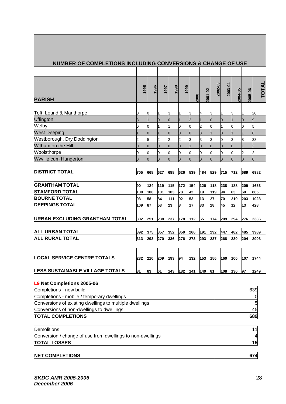| <b>NUMBER OF COMPLETIONS INCLUDING CONVERSIONS &amp; CHANGE OF USE</b> |          |      |          |      |      |      |         |         |          |         |         |       |
|------------------------------------------------------------------------|----------|------|----------|------|------|------|---------|---------|----------|---------|---------|-------|
|                                                                        |          |      |          |      |      |      |         |         |          |         |         |       |
|                                                                        | 1995     | 1996 | 1997     | 1998 | 1999 |      | 2001-02 | 2002-03 | 2003-04  | 2004-05 | 2005-06 | TOTAL |
| <b>PARISH</b>                                                          |          |      |          |      |      | 2000 |         |         |          |         |         |       |
| Toft, Lound & Manthorpe                                                | 0        | Ю    | 1        | З    |      | З    | 4       | З       |          | 3       |         | 20    |
| Uffington                                                              | 3        |      |          | 0    |      | 2    |         | 0       | 0        |         |         | 9     |
| Welby                                                                  | 0        | Ю    |          |      | 0    | 0    | 2       | n       |          |         |         | 5     |
| <b>West Deeping</b>                                                    |          | Ю    |          | 0    | 0    | 0    | 3       |         | 0        |         |         | 8     |
| Westborough, Dry Doddington                                            | 2        | 5    | 2        | 2    | 2    | 3    | 3       | З       | 0        | 3       |         | 33    |
| Witham on the Hill                                                     | 0        | Ю    | 0        | 0    | 0    |      | 0       | 0       | 0        | 0       |         | 2     |
| Woolsthorpe                                                            | 0        | 0    | 0        | 0    | 0    | 0    | 0       | 0       | 0        | 0       | 2       | 2     |
| Wyville cum Hungerton                                                  | $\Omega$ | In   | $\Omega$ | O    |      | lo   | n       |         | $\Omega$ | n       | O       | h     |
|                                                                        |          |      |          |      |      |      |         |         |          |         |         |       |
| <b>DISTRICT TOTAL</b>                                                  | 705      | 668  | 627      | 688  | 626  | 539  | 484     | 529     | 715      | 712     | 689     | 6982  |
| <b>GRANTHAM TOTAL</b>                                                  | 90       | 124  | 119      | 115  | 172  | 154  | 126     | 118     | 238      | 188     | 209     | 1653  |
| <b>STAMFORD TOTAL</b>                                                  | 100      | 106  | 101      | 103  | 78   | 42   | 19      | 119     | 94       | 63      | 60      | 885   |
| <b>BOURNE TOTAL</b>                                                    | 93       | 58   | 84       | 111  | 92   | 53   | 13      | 27      | 70       | 219     | 203     | 1023  |
| <b>DEEPINGS TOTAL</b>                                                  | 109      | 87   | 53       | 23   | 8    | 17   | 33      | 28      | 45       | 12      | 13      | 428   |
| <b>URBAN EXCLUDING GRANTHAM TOTAL</b>                                  | 302      | 251  | 238      | 237  | 178  | 112  | 65      | 174     | 209      | 294     | 276     | 2336  |
| <b>ALL URBAN TOTAL</b>                                                 | 392      | 375  | 357      | 352  | 350  | 266  | 191     | 292     | 447      | 482     | 485     | 3989  |
| <b>ALL RURAL TOTAL</b>                                                 | 313      | 293  | 270      | 336  | 276  | 273  | 293     | 237     | 268      | 230     | 204     | 2993  |
|                                                                        |          |      |          |      |      |      |         |         |          |         |         |       |
| <b>LOCAL SERVICE CENTRE TOTALS</b>                                     | 232      | 210  | 209      | 193  | 94   | 132  | 153     | 156     | 160      | 100     | 107     | 1744  |
| <b>LESS SUSTAINABLE VILLAGE TOTALS</b>                                 | 81       | 83   | 61       | 143  | 182  | 141  | 140     | 81      | 108      | 130     | 97      | 1249  |
| L9 Net Completions 2005-06                                             |          |      |          |      |      |      |         |         |          |         |         |       |
| Completions - new build                                                |          |      |          |      |      |      |         |         |          |         |         | 639   |
| Completions - mobile / temporary dwellings                             |          |      |          |      |      |      |         |         |          |         |         | 0     |
| Conversions of existing dwellings to multiple dwellings                |          |      |          |      |      |      |         | 5       |          |         |         |       |
| Conversions of non-dwellings to dwellings                              |          |      |          |      |      |      |         |         |          |         |         | 45    |
| <b>TOTAL COMPLETIONS</b>                                               |          |      |          |      |      |      |         |         |          |         |         | 689   |

| <b>Demolitions</b>                                         |    |
|------------------------------------------------------------|----|
| Conversion / change of use from dwellings to non-dwellings |    |
| <b>TOTAL LOSSES</b>                                        | 15 |
|                                                            |    |

### **NET COMPLETIONS** 674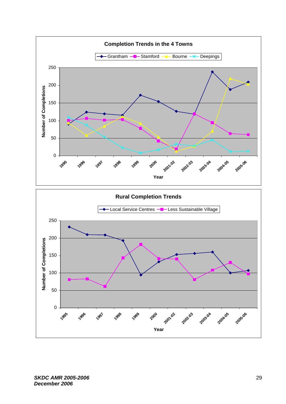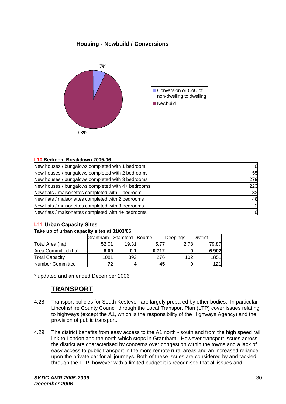

#### **L10 Bedroom Breakdown 2005-06**

| New houses / bungalows completed with 1 bedroom    | 0   |
|----------------------------------------------------|-----|
| New houses / bungalows completed with 2 bedrooms   | 55  |
| New houses / bungalows completed with 3 bedrooms   | 279 |
| New houses / bungalows completed with 4+ bedrooms  | 223 |
| New flats / maisonettes completed with 1 bedroom   | 32  |
| New flats / maisonettes completed with 2 bedrooms  | 48  |
| New flats / maisonettes completed with 3 bedrooms  | 2   |
| New flats / maisonettes completed with 4+ bedrooms | 0   |

### **L11 Urban Capacity Sites**

#### **Take up of urban capacity sites at 31/03/06**

|                       | Grantham | Stamford | Bourne | Deepings | <b>District</b> |
|-----------------------|----------|----------|--------|----------|-----------------|
| Total Area (ha)       | 52.01    | 19.31    | 5.77   | 2.78     | 79.87           |
| Area Committed (ha)   | 6.09     | 0.1I     | 0.712  |          | 6.902           |
| <b>Total Capacity</b> | 1081     | 392      | 276    | 102      | 1851            |
| Number Committed      | 72       |          | 45     |          | 121             |

\* updated and amended December 2006

# **TRANSPORT**

- 4.28 Transport policies for South Kesteven are largely prepared by other bodies. In particular Lincolnshire County Council through the Local Transport Plan (LTP) cover issues relating to highways (except the A1, which is the responsibility of the Highways Agency) and the provision of public transport.
- 4.29 The district benefits from easy access to the A1 north south and from the high speed rail link to London and the north which stops in Grantham. However transport issues across the district are characterised by concerns over congestion within the towns and a lack of easy access to public transport in the more remote rural areas and an increased reliance upon the private car for all journeys. Both of these issues are considered by and tackled through the LTP, however with a limited budget it is recognised that all issues and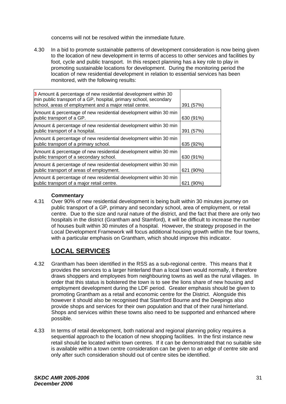concerns will not be resolved within the immediate future.

4.30 In a bid to promote sustainable patterns of development consideration is now being given to the location of new development in terms of access to other services and facilities by foot, cycle and public transport. In this respect planning has a key role to play in promoting sustainable locations for development. During the monitoring period the location of new residential development in relation to essential services has been monitored, with the following results:

| 3 Amount & percentage of new residential development within 30<br>min public transport of a GP, hospital, primary school, secondary<br>school, areas of employment and a major retail centre. | 391 (57%)       |
|-----------------------------------------------------------------------------------------------------------------------------------------------------------------------------------------------|-----------------|
| Amount & percentage of new residential development within 30 min<br>public transport of a GP.                                                                                                 | 630 (91%)       |
| Amount & percentage of new residential development within 30 min<br>public transport of a hospital.                                                                                           | 391 (57%)       |
| Amount & percentage of new residential development within 30 min<br>public transport of a primary school.                                                                                     | 635 (92%)       |
| Amount & percentage of new residential development within 30 min<br>public transport of a secondary school.                                                                                   | 630 (91%)       |
| Amount & percentage of new residential development within 30 min<br>public transport of areas of employment.                                                                                  | 621 (90%)       |
| Amount & percentage of new residential development within 30 min<br>public transport of a major retail centre.                                                                                | $(90\%)$<br>621 |

#### **Commentary**

4.31 Over 90% of new residential development is being built within 30 minutes journey on public transport of a GP, primary and secondary school, area of employment, or retail centre. Due to the size and rural nature of the district, and the fact that there are only two hospitals in the district (Grantham and Stamford), it will be difficult to increase the number of houses built within 30 minutes of a hospital. However, the strategy proposed in the Local Development Framework will focus additional housing growth within the four towns, with a particular emphasis on Grantham, which should improve this indicator.

# **LOCAL SERVICES**

- 4.32 Grantham has been identified in the RSS as a sub-regional centre. This means that it provides the services to a larger hinterland than a local town would normally, it therefore draws shoppers and employees from neighbouring towns as well as the rural villages. In order that this status is bolstered the town is to see the lions share of new housing and employment development during the LDF period. Greater emphasis should be given to promoting Grantham as a retail and economic centre for the District. Alongside this however it should also be recognised that Stamford Bourne and the Deepings also provide shops and services for their own population and that of their rural hinterland. Shops and services within these towns also need to be supported and enhanced where possible.
- 4.33 In terms of retail development, both national and regional planning policy requires a sequential approach to the location of new shopping facilities. In the first instance new retail should be located within town centres. If it can be demonstrated that no suitable site is available within a town centre consideration can be given to an edge of centre site and only after such consideration should out of centre sites be identified.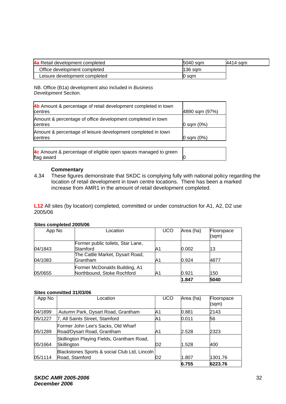| 4a Retail development completed | 5040 sam | 4414 sam |
|---------------------------------|----------|----------|
| Office development completed    | l136 sam |          |
| Leisure development completed   | I0 sqm   |          |

NB. Office (B1a) development also included in *Business Development* Section*.* 

| 4b Amount & percentage of retail development completed in town<br>centres     | 4890 sqm (97%) |
|-------------------------------------------------------------------------------|----------------|
| Amount & percentage of office development completed in town<br><b>centres</b> | $0$ sqm $(0%)$ |
| Amount & percentage of leisure development completed in town<br>centres       | $0$ sqm $(0%)$ |
| 4c Amount & percentage of eligible open spaces managed to green<br>flag award |                |

#### **Commentary**

4.34 These figures demonstrate that SKDC is complying fully with national policy regarding the location of retail development in town centre locations. There has been a marked increase from AMR1 in the amount of retail development completed.

**L12** All sites (by location) completed, committed or under construction for A1, A2, D2 use 2005/06

#### **Sites completed 2005/06**

| App No  | Location                                                    | <b>UCO</b> | Area (ha) | Floorspace<br>(sqm) |
|---------|-------------------------------------------------------------|------------|-----------|---------------------|
|         | Former public toilets, Star Lane,                           |            |           |                     |
| 04/1843 | Stamford                                                    | A1         | 0.002     | 13                  |
| 04/1083 | The Cattle Market, Dysart Road,<br>Grantham                 | A1         | 0.924     | 4877                |
| 05/0655 | Former McDonalds Building, A1<br>Northbound, Stoke Rochford | A1         | 0.921     | 150                 |
|         |                                                             |            | 1.847     | 5040                |

#### **Sites committed 31/03/06**

| App No  | Location                                                         | UCO            | Area (ha) | Floorspace<br>(sqm) |
|---------|------------------------------------------------------------------|----------------|-----------|---------------------|
| 04/1899 | Autumn Park, Dysart Road, Grantham                               | A1             | 0.881     | 2143                |
| 05/1227 | 7, All Saints Street, Stamford                                   | A1             | 0.011     | 56                  |
| 05/1289 | Former John Lee's Sacks, Old Wharf<br>Road/Dysart Road, Grantham | A1             | 2.528     | 2323                |
| 05/1664 | Skillington Playing Fields, Grantham Road,<br>Skillington        | D <sub>2</sub> | 1.528     | 400                 |
| 05/1114 | Blackstones Sports & social Club Ltd, Lincoln<br>Road, Stamford  | D <sub>2</sub> | 1.807     | 1301.76             |
|         |                                                                  |                | 6.755     | 6223.76             |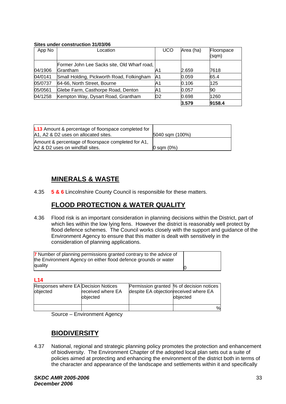#### **Sites under construction 31/03/06**

| App No  | Location                                                | UCO            | Area (ha) | Floorspace<br>(sqm) |
|---------|---------------------------------------------------------|----------------|-----------|---------------------|
| 04/1906 | Former John Lee Sacks site, Old Wharf road,<br>Grantham | A1             | 2.659     | 7618                |
| 04/0141 | Small Holding, Pickworth Road, Folkingham               | A1             | 0.059     | 65.4                |
| 05/0737 | 64-66, North Street, Bourne                             | A1             | 0.106     | 125                 |
| 05/0561 | Glebe Farm, Casthorpe Road, Denton                      | A1             | 0.057     | 90                  |
| 04/1258 | Kempton Way, Dysart Road, Grantham                      | D <sub>2</sub> | 0.698     | 1260                |
|         |                                                         |                | 3.579     | 9158.4              |

| <b>L13</b> Amount & percentage of floorspace completed for<br>A1, A2 & D2 uses on allocated sites. | 5040 sqm (100%) |
|----------------------------------------------------------------------------------------------------|-----------------|
| Amount & percentage of floorspace completed for A1,<br>A2 & D2 uses on windfall sites.             | $0$ sqm $(0%)$  |

# **MINERALS & WASTE**

4.35 **5 & 6** Lincolnshire County Council is responsible for these matters.

# **FLOOD PROTECTION & WATER QUALITY**

4.36 Flood risk is an important consideration in planning decisions within the District, part of which lies within the low lying fens. However the district is reasonably well protect by flood defence schemes. The Council works closely with the support and guidance of the Environment Agency to ensure that this matter is dealt with sensitively in the consideration of planning applications.

| 7 Number of planning permissions granted contrary to the advice of<br>the Environment Agency on either flood defence grounds or water |  |
|---------------------------------------------------------------------------------------------------------------------------------------|--|
| quality                                                                                                                               |  |

**L14** 

| Responses where EA Decision Notices | received where EA | despite EA objection received where EA | Permission granted  % of decision notices |
|-------------------------------------|-------------------|----------------------------------------|-------------------------------------------|
| objected                            | objected          |                                        | objected                                  |
|                                     |                   |                                        | $\%$                                      |

Source – Environment Agency

### **BIODIVERSITY**

4.37 National, regional and strategic planning policy promotes the protection and enhancement of biodiversity. The Environment Chapter of the adopted local plan sets out a suite of policies aimed at protecting and enhancing the environment of the district both in terms of the character and appearance of the landscape and settlements within it and specifically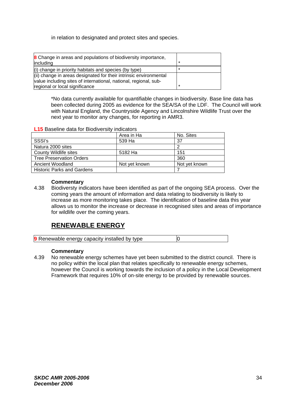in relation to designated and protect sites and species.

| <b>8</b> Change in areas and populations of biodiversity importance,<br>including |  |
|-----------------------------------------------------------------------------------|--|
| $(i)$ change in priority habitats and species (by type)                           |  |
| (ii) change in areas designated for their intrinsic environmental                 |  |
| value including sites of international, national, regional, sub-                  |  |
| regional or local significance                                                    |  |

\*No data currently available for quantifiable changes in biodiversity. Base line data has been collected during 2005 as evidence for the SEA/SA of the LDF. The Council will work with Natural England, the Countryside Agency and Lincolnshire Wildlife Trust over the next year to monitor any changes, for reporting in AMR3.

#### **L15** Baseline data for Biodiversity indicators

|                                   | Area in Ha    | No. Sites     |
|-----------------------------------|---------------|---------------|
| SSSI's                            | 539 Ha        | 37            |
| Natura 2000 sites                 |               |               |
| County Wildlife sites             | 5182 Ha       | 151           |
| <b>Tree Preservation Orders</b>   |               | 360           |
| Ancient Woodland                  | Not yet known | Not vet known |
| <b>Historic Parks and Gardens</b> |               |               |

#### **Commentary**

4.38 Biodiversty indicators have been identified as part of the ongoing SEA process. Over the coming years the amount of information and data relating to biodiversity is likely to increase as more monitoring takes place. The identification of baseline data this year allows us to monitor the increase or decrease in recognised sites and areas of importance for wildlife over the coming years.

### **RENEWABLE ENERGY**

**9** Renewable energy capacity installed by type  $\vert$ 0

#### **Commentary**

4.39 No renewable energy schemes have yet been submitted to the district council. There is no policy within the local plan that relates specifically to renewable energy schemes, however the Council is working towards the inclusion of a policy in the Local Development Framework that requires 10% of on-site energy to be provided by renewable sources.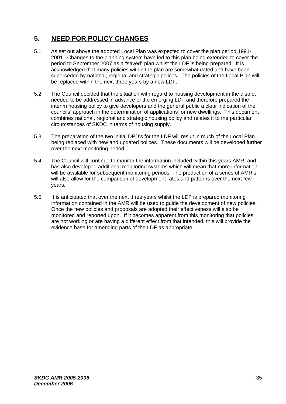# **5. NEED FOR POLICY CHANGES**

- 5.1 As set out above the adopted Local Plan was expected to cover the plan period 1991- 2001. Changes to the planning system have led to this plan being extended to cover the period to September 2007 as a "saved" plan whilst the LDF is being prepared. It is acknowledged that many policies within the plan are somewhat dated and have been superseded by national, regional and strategic polices. The policies of the Local Plan will be replaced within the next three years by a new LDF.
- 5.2 The Council decided that the situation with regard to housing development in the district needed to be addressed in advance of the emerging LDF and therefore prepared the interim housing policy to give developers and the general public a clear indication of the councils' approach in the determination of applications for new dwellings. This document combines national, regional and strategic housing policy and relates it to the particular circumstances of SKDC in terms of housing supply.
- 5.3 The preparation of the two initial DPD's for the LDF will result in much of the Local Plan being replaced with new and updated polices. These documents will be developed further over the next monitoring period.
- 5.4 The Council will continue to monitor the information included within this years AMR, and has also developed additional monitoring systems which will mean that more information will be available for subsequent monitoring periods. The production of a series of AMR's will also allow for the comparison of development rates and patterns over the next few years.
- 5.5 It is anticipated that over the next three years whilst the LDF is prepared monitoring information contained in the AMR will be used to guide the development of new policies. Once the new policies and proposals are adopted their effectiveness will also be monitored and reported upon. If it becomes apparent from this monitoring that policies are not working or are having a different effect from that intended, this will provide the evidence base for amending parts of the LDF as appropriate.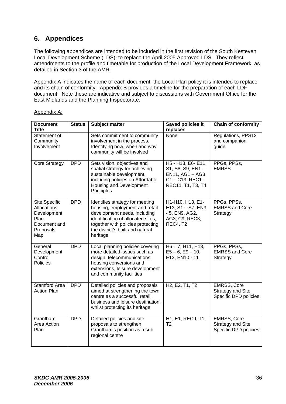# **6. Appendices**

The following appendices are intended to be included in the first revision of the South Kesteven Local Development Scheme (LDS), to replace the April 2005 Approved LDS. They reflect amendments to the profile and timetable for production of the Local Development Framework, as detailed in Section 3 of the AMR.

Appendix A indicates the name of each document, the Local Plan policy it is intended to replace and its chain of conformity. Appendix B provides a timeline for the preparation of each LDF document. Note these are indicative and subject to discussions with Government Office for the East Midlands and the Planning Inspectorate.

| <b>Document</b><br><b>Title</b>                                                         | <b>Status</b> | <b>Subject matter</b>                                                                                                                                                                                                        | Saved policies it<br>replaces                                                                         | <b>Chain of conformity</b>                                              |
|-----------------------------------------------------------------------------------------|---------------|------------------------------------------------------------------------------------------------------------------------------------------------------------------------------------------------------------------------------|-------------------------------------------------------------------------------------------------------|-------------------------------------------------------------------------|
| Statement of<br>Community<br>Involvement                                                |               | Sets commitment to community<br>involvement in the process.<br>Identifying how, when and why<br>community will be involved                                                                                                   | None                                                                                                  | Regulations, PPS12<br>and companion<br>guide                            |
| <b>Core Strategy</b>                                                                    | <b>DPD</b>    | Sets vision, objectives and<br>spatial strategy for achieving<br>sustainable development,<br>including policies on Affordable<br>Housing and Development<br>Principles                                                       | H5 - H13, E6- E11,<br>S1, S8, S9, EN1-<br>EN11, AG1 - AG3,<br>$C1 - C13$ , REC1-<br>REC11, T1, T3, T4 | PPGs, PPSs,<br><b>EMRSS</b>                                             |
| Site Specific<br>Allocations<br>Development<br>Plan<br>Document and<br>Proposals<br>Map | <b>DPD</b>    | Identifies strategy for meeting<br>housing, employment and retail<br>development needs, including<br>identification of allocated sites,<br>together with policies protecting<br>the district's built and natural<br>heritage | H1-H10, H13, E1-<br>E13, S1 - S7, EN3<br>- 5, EN9, AG2,<br>AG3, C9, REC3,<br>REC4, T2                 | PPGs, PPSs,<br><b>EMRSS and Core</b><br>Strategy                        |
| General<br>Development<br>Control<br>Policies                                           | <b>DPD</b>    | Local planning policies covering<br>more detailed issues such as<br>design, telecommunications,<br>housing conversions and<br>extensions, leisure development<br>and community facilities                                    | $H6 - 7$ , $H11$ , $H13$ ,<br>$E5 - 6$ , $E9 - 10$ ,<br>E13, EN10 - 11                                | PPGs, PPSs,<br><b>EMRSS and Core</b><br>Strategy                        |
| <b>Stamford Area</b><br><b>Action Plan</b>                                              | <b>DPD</b>    | Detailed policies and proposals<br>aimed at strengthening the town<br>centre as a successful retail,<br>business and leisure destination,<br>whilst protecting its heritage                                                  | H <sub>2</sub> , E <sub>2</sub> , T <sub>1</sub> , T <sub>2</sub>                                     | <b>EMRSS, Core</b><br><b>Strategy and Site</b><br>Specific DPD policies |
| Grantham<br>Area Action<br>Plan                                                         | <b>DPD</b>    | Detailed policies and site<br>proposals to strengthen<br>Grantham's position as a sub-<br>regional centre                                                                                                                    | H1, E1, REC9, T1,<br>T <sub>2</sub>                                                                   | <b>EMRSS, Core</b><br><b>Strategy and Site</b><br>Specific DPD policies |

### Appendix A: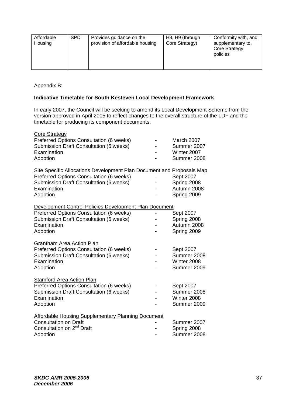| Affordable<br>Housing | <b>SPD</b> | Provides guidance on the<br>provision of affordable housing | H8, H9 (through<br>Core Strategy) | Conformity with, and<br>supplementary to,<br><b>Core Strategy</b><br>policies |
|-----------------------|------------|-------------------------------------------------------------|-----------------------------------|-------------------------------------------------------------------------------|
|                       |            |                                                             |                                   |                                                                               |

### Appendix B:

### **Indicative Timetable for South Kesteven Local Development Framework**

In early 2007, the Council will be seeking to amend its Local Development Scheme from the version approved in April 2005 to reflect changes to the overall structure of the LDF and the timetable for producing its component documents.

| <b>Core Strategy</b><br>Preferred Options Consultation (6 weeks)<br>Submission Draft Consultation (6 weeks)<br>Examination<br>Adoption                                                         | March 2007<br>Summer 2007<br>Winter 2007<br>Summer 2008 |
|------------------------------------------------------------------------------------------------------------------------------------------------------------------------------------------------|---------------------------------------------------------|
| <b>Site Specific Allocations Development Plan Document and Proposals Map</b><br>Preferred Options Consultation (6 weeks)<br>Submission Draft Consultation (6 weeks)<br>Examination<br>Adoption | Sept 2007<br>Spring 2008<br>Autumn 2008<br>Spring 2009  |
| Development Control Policies Development Plan Document<br>Preferred Options Consultation (6 weeks)<br>Submission Draft Consultation (6 weeks)<br>Examination<br>Adoption                       | Sept 2007<br>Spring 2008<br>Autumn 2008<br>Spring 2009  |
| <b>Grantham Area Action Plan</b><br>Preferred Options Consultation (6 weeks)<br>Submission Draft Consultation (6 weeks)<br>Examination<br>Adoption                                             | Sept 2007<br>Summer 2008<br>Winter 2008<br>Summer 2009  |
| <b>Stamford Area Action Plan</b><br>Preferred Options Consultation (6 weeks)<br>Submission Draft Consultation (6 weeks)<br>Examination<br>Adoption                                             | Sept 2007<br>Summer 2008<br>Winter 2008<br>Summer 2009  |
| <b>Affordable Housing Supplementary Planning Document</b><br><b>Consultation on Draft</b><br>Consultation on 2 <sup>nd</sup> Draft<br>Adoption                                                 | Summer 2007<br>Spring 2008<br>Summer 2008               |